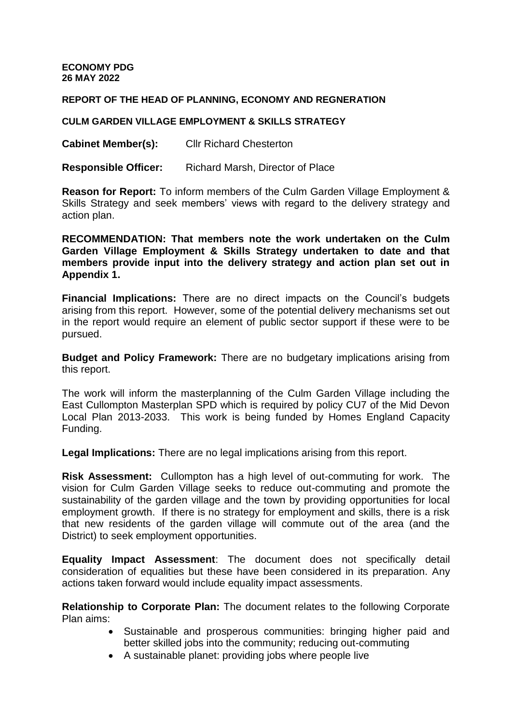**ECONOMY PDG 26 MAY 2022**

**REPORT OF THE HEAD OF PLANNING, ECONOMY AND REGNERATION**

## **CULM GARDEN VILLAGE EMPLOYMENT & SKILLS STRATEGY**

**Cabinet Member(s):** Cllr Richard Chesterton

**Responsible Officer:** Richard Marsh, Director of Place

**Reason for Report:** To inform members of the Culm Garden Village Employment & Skills Strategy and seek members' views with regard to the delivery strategy and action plan.

**RECOMMENDATION: That members note the work undertaken on the Culm Garden Village Employment & Skills Strategy undertaken to date and that members provide input into the delivery strategy and action plan set out in Appendix 1.** 

**Financial Implications:** There are no direct impacts on the Council's budgets arising from this report. However, some of the potential delivery mechanisms set out in the report would require an element of public sector support if these were to be pursued.

**Budget and Policy Framework:** There are no budgetary implications arising from this report.

The work will inform the masterplanning of the Culm Garden Village including the East Cullompton Masterplan SPD which is required by policy CU7 of the Mid Devon Local Plan 2013-2033. This work is being funded by Homes England Capacity Funding.

**Legal Implications:** There are no legal implications arising from this report.

**Risk Assessment:** Cullompton has a high level of out-commuting for work. The vision for Culm Garden Village seeks to reduce out-commuting and promote the sustainability of the garden village and the town by providing opportunities for local employment growth. If there is no strategy for employment and skills, there is a risk that new residents of the garden village will commute out of the area (and the District) to seek employment opportunities.

**Equality Impact Assessment**: The document does not specifically detail consideration of equalities but these have been considered in its preparation. Any actions taken forward would include equality impact assessments.

**Relationship to Corporate Plan:** The document relates to the following Corporate Plan aims:

- Sustainable and prosperous communities: bringing higher paid and better skilled jobs into the community; reducing out-commuting
- A sustainable planet: providing jobs where people live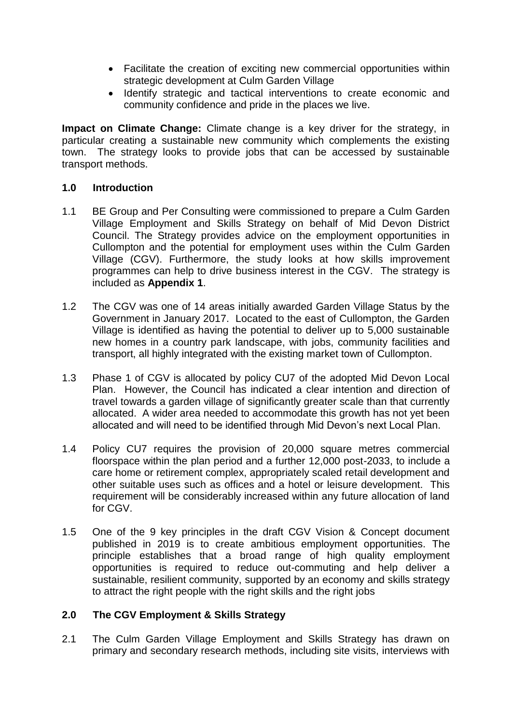- Facilitate the creation of exciting new commercial opportunities within strategic development at Culm Garden Village
- Identify strategic and tactical interventions to create economic and community confidence and pride in the places we live.

**Impact on Climate Change:** Climate change is a key driver for the strategy, in particular creating a sustainable new community which complements the existing town. The strategy looks to provide jobs that can be accessed by sustainable transport methods.

## **1.0 Introduction**

- 1.1 BE Group and Per Consulting were commissioned to prepare a Culm Garden Village Employment and Skills Strategy on behalf of Mid Devon District Council. The Strategy provides advice on the employment opportunities in Cullompton and the potential for employment uses within the Culm Garden Village (CGV). Furthermore, the study looks at how skills improvement programmes can help to drive business interest in the CGV. The strategy is included as **Appendix 1**.
- 1.2 The CGV was one of 14 areas initially awarded Garden Village Status by the Government in January 2017. Located to the east of Cullompton, the Garden Village is identified as having the potential to deliver up to 5,000 sustainable new homes in a country park landscape, with jobs, community facilities and transport, all highly integrated with the existing market town of Cullompton.
- 1.3 Phase 1 of CGV is allocated by policy CU7 of the adopted Mid Devon Local Plan. However, the Council has indicated a clear intention and direction of travel towards a garden village of significantly greater scale than that currently allocated. A wider area needed to accommodate this growth has not yet been allocated and will need to be identified through Mid Devon's next Local Plan.
- 1.4 Policy CU7 requires the provision of 20,000 square metres commercial floorspace within the plan period and a further 12,000 post-2033, to include a care home or retirement complex, appropriately scaled retail development and other suitable uses such as offices and a hotel or leisure development. This requirement will be considerably increased within any future allocation of land for CGV.
- 1.5 One of the 9 key principles in the draft CGV Vision & Concept document published in 2019 is to create ambitious employment opportunities. The principle establishes that a broad range of high quality employment opportunities is required to reduce out-commuting and help deliver a sustainable, resilient community, supported by an economy and skills strategy to attract the right people with the right skills and the right jobs

## **2.0 The CGV Employment & Skills Strategy**

2.1 The Culm Garden Village Employment and Skills Strategy has drawn on primary and secondary research methods, including site visits, interviews with